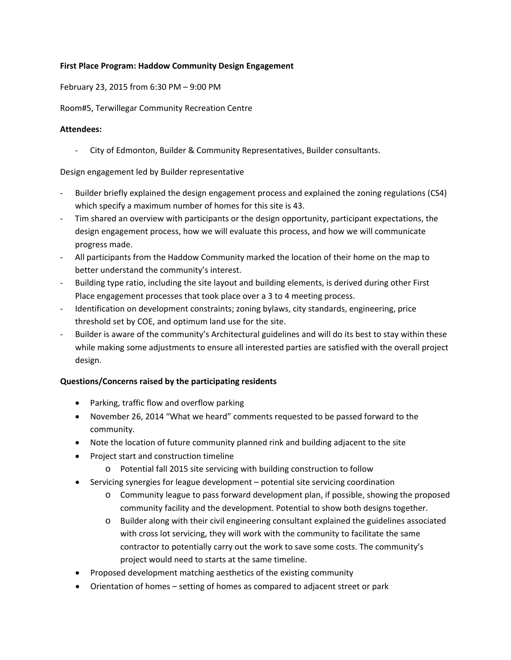#### **First Place Program: Haddow Community Design Engagement**

February 23, 2015 from 6:30 PM – 9:00 PM

Room#5, Terwillegar Community Recreation Centre

#### **Attendees:**

‐ City of Edmonton, Builder & Community Representatives, Builder consultants.

Design engagement led by Builder representative

- ‐ Builder briefly explained the design engagement process and explained the zoning regulations (CS4) which specify a maximum number of homes for this site is 43.
- ‐ Tim shared an overview with participants or the design opportunity, participant expectations, the design engagement process, how we will evaluate this process, and how we will communicate progress made.
- ‐ All participants from the Haddow Community marked the location of their home on the map to better understand the community's interest.
- ‐ Building type ratio, including the site layout and building elements, is derived during other First Place engagement processes that took place over a 3 to 4 meeting process.
- ‐ Identification on development constraints; zoning bylaws, city standards, engineering, price threshold set by COE, and optimum land use for the site.
- ‐ Builder is aware of the community's Architectural guidelines and will do its best to stay within these while making some adjustments to ensure all interested parties are satisfied with the overall project design.

## **Questions/Concerns raised by the participating residents**

- Parking, traffic flow and overflow parking
- November 26, 2014 "What we heard" comments requested to be passed forward to the community.
- Note the location of future community planned rink and building adjacent to the site
- Project start and construction timeline
	- o Potential fall 2015 site servicing with building construction to follow
- Servicing synergies for league development potential site servicing coordination
	- o Community league to pass forward development plan, if possible, showing the proposed community facility and the development. Potential to show both designs together.
	- o Builder along with their civil engineering consultant explained the guidelines associated with cross lot servicing, they will work with the community to facilitate the same contractor to potentially carry out the work to save some costs. The community's project would need to starts at the same timeline.
- Proposed development matching aesthetics of the existing community
- Orientation of homes setting of homes as compared to adjacent street or park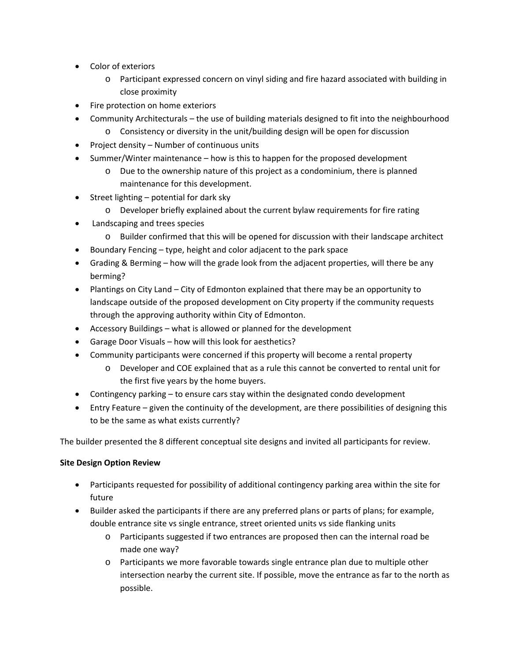- Color of exteriors
	- o Participant expressed concern on vinyl siding and fire hazard associated with building in close proximity
- Fire protection on home exteriors
- Community Architecturals the use of building materials designed to fit into the neighbourhood
	- o Consistency or diversity in the unit/building design will be open for discussion
- Project density Number of continuous units
- Summer/Winter maintenance how is this to happen for the proposed development
	- $\circ$  Due to the ownership nature of this project as a condominium, there is planned maintenance for this development.
- $\bullet$  Street lighting potential for dark sky
	- o Developer briefly explained about the current bylaw requirements for fire rating
- Landscaping and trees species
	- o Builder confirmed that this will be opened for discussion with their landscape architect
- $\bullet$  Boundary Fencing type, height and color adjacent to the park space
- Grading & Berming how will the grade look from the adjacent properties, will there be any berming?
- Plantings on City Land City of Edmonton explained that there may be an opportunity to landscape outside of the proposed development on City property if the community requests through the approving authority within City of Edmonton.
- Accessory Buildings what is allowed or planned for the development
- Garage Door Visuals how will this look for aesthetics?
- Community participants were concerned if this property will become a rental property
	- o Developer and COE explained that as a rule this cannot be converted to rental unit for the first five years by the home buyers.
- Contingency parking to ensure cars stay within the designated condo development
- Entry Feature given the continuity of the development, are there possibilities of designing this to be the same as what exists currently?

The builder presented the 8 different conceptual site designs and invited all participants for review.

## **Site Design Option Review**

- Participants requested for possibility of additional contingency parking area within the site for future
- Builder asked the participants if there are any preferred plans or parts of plans; for example, double entrance site vs single entrance, street oriented units vs side flanking units
	- o Participants suggested if two entrances are proposed then can the internal road be made one way?
	- o Participants we more favorable towards single entrance plan due to multiple other intersection nearby the current site. If possible, move the entrance as far to the north as possible.